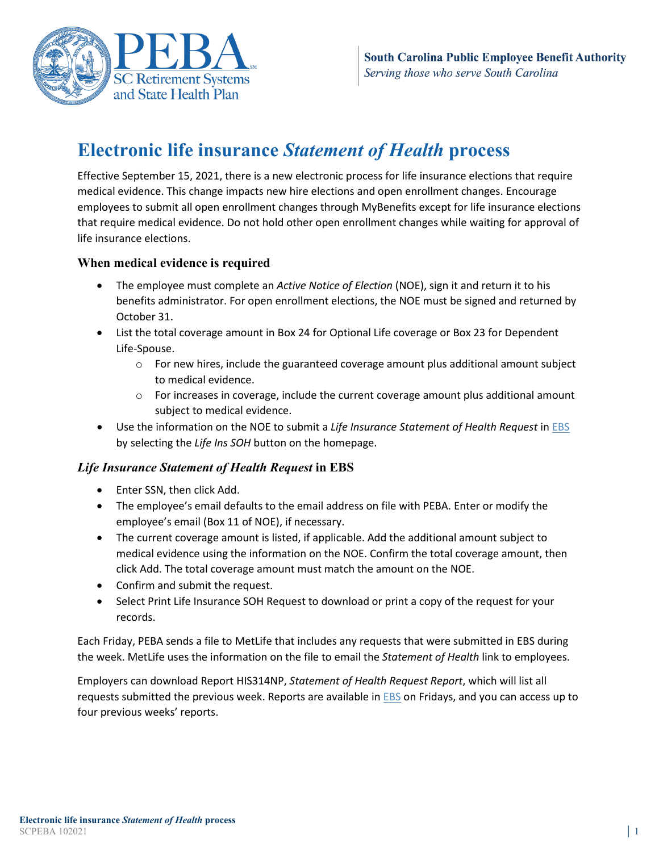

# **Electronic life insurance** *Statement of Health* **process**

Effective September 15, 2021, there is a new electronic process for life insurance elections that require medical evidence. This change impacts new hire elections and open enrollment changes. Encourage employees to submit all open enrollment changes through MyBenefits except for life insurance elections that require medical evidence. Do not hold other open enrollment changes while waiting for approval of life insurance elections.

## **When medical evidence is required**

- The employee must complete an *Active Notice of Election* (NOE), sign it and return it to his benefits administrator. For open enrollment elections, the NOE must be signed and returned by October 31.
- List the total coverage amount in Box 24 for Optional Life coverage or Box 23 for Dependent Life-Spouse.
	- $\circ$  For new hires, include the guaranteed coverage amount plus additional amount subject to medical evidence.
	- $\circ$  For increases in coverage, include the current coverage amount plus additional amount subject to medical evidence.
- Use the information on the NOE to submit a *Life Insurance Statement of Health Request* in [EBS](https://ebs.eip.sc.gov/ebs/) by selecting the *Life Ins SOH* button on the homepage.

## *Life Insurance Statement of Health Request* **in EBS**

- Enter SSN, then click Add.
- The employee's email defaults to the email address on file with PEBA. Enter or modify the employee's email (Box 11 of NOE), if necessary.
- The current coverage amount is listed, if applicable. Add the additional amount subject to medical evidence using the information on the NOE. Confirm the total coverage amount, then click Add. The total coverage amount must match the amount on the NOE.
- Confirm and submit the request.
- Select Print Life Insurance SOH Request to download or print a copy of the request for your records.

Each Friday, PEBA sends a file to MetLife that includes any requests that were submitted in EBS during the week. MetLife uses the information on the file to email the *Statement of Health* link to employees.

Employers can download Report HIS314NP, *Statement of Health Request Report*, which will list all requests submitted the previous week. Reports are available in [EBS](https://ebs.eip.sc.gov/ebs/) on Fridays, and you can access up to four previous weeks' reports.